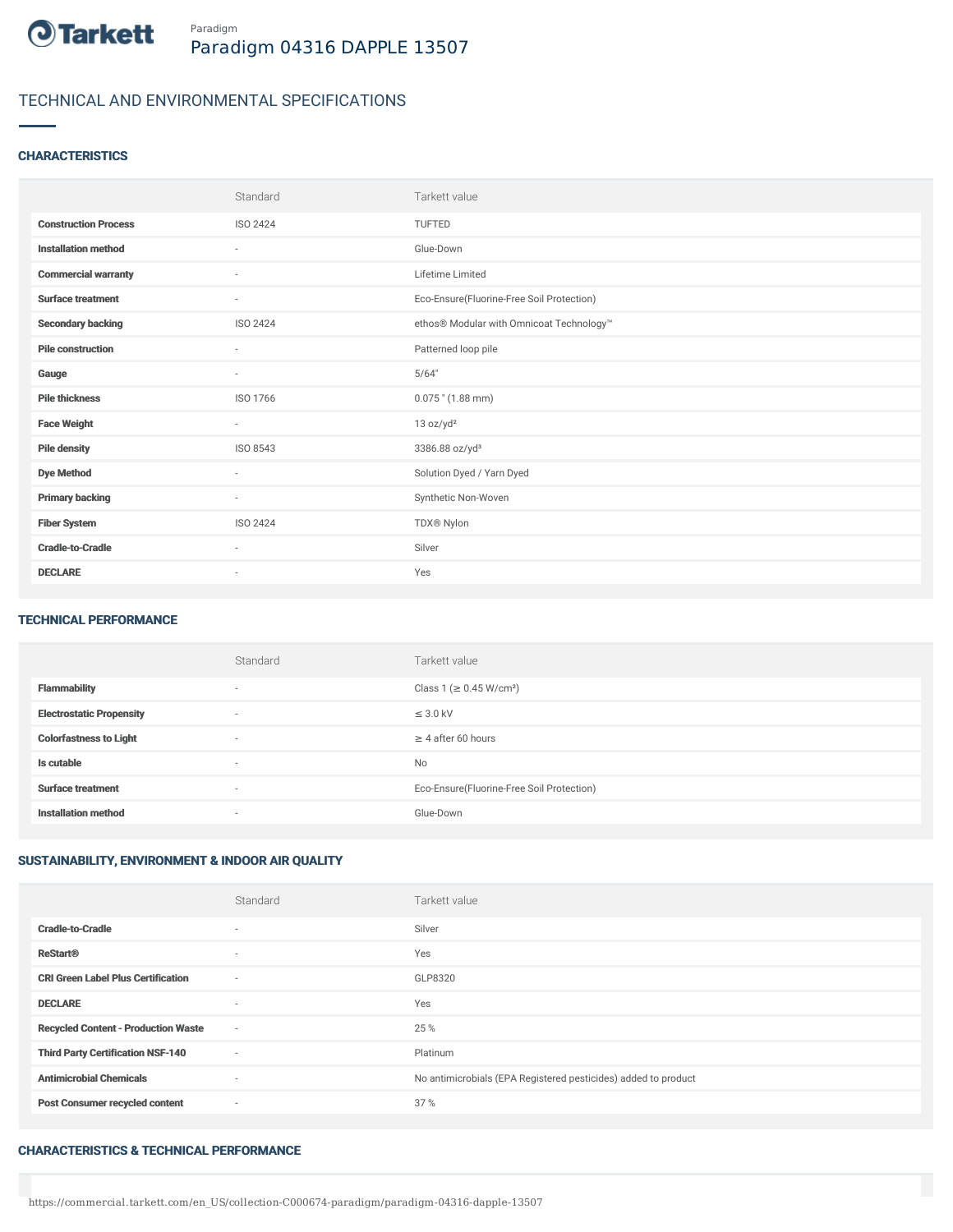

# TECHNICAL AND ENVIRONMENTAL SPECIFICATIONS

## **CHARACTERISTICS**

|                             | Standard                 | Tarkett value                             |
|-----------------------------|--------------------------|-------------------------------------------|
| <b>Construction Process</b> | <b>ISO 2424</b>          | <b>TUFTED</b>                             |
| <b>Installation method</b>  | $\sim$                   | Glue-Down                                 |
| <b>Commercial warranty</b>  | ٠                        | Lifetime Limited                          |
| <b>Surface treatment</b>    | $\sim$                   | Eco-Ensure(Fluorine-Free Soil Protection) |
| <b>Secondary backing</b>    | ISO 2424                 | ethos® Modular with Omnicoat Technology™  |
| <b>Pile construction</b>    | $\sim$                   | Patterned loop pile                       |
| Gauge                       | $\sim$                   | 5/64"                                     |
| <b>Pile thickness</b>       | ISO 1766                 | $0.075$ " (1.88 mm)                       |
| <b>Face Weight</b>          | $\sim$                   | 13 oz/yd <sup>2</sup>                     |
| <b>Pile density</b>         | ISO 8543                 | 3386.88 oz/yd <sup>3</sup>                |
| <b>Dye Method</b>           | $\sim$                   | Solution Dyed / Yarn Dyed                 |
| <b>Primary backing</b>      | $\overline{\phantom{a}}$ | Synthetic Non-Woven                       |
| <b>Fiber System</b>         | <b>ISO 2424</b>          | TDX® Nylon                                |
| <b>Cradle-to-Cradle</b>     | $\sim$                   | Silver                                    |
| <b>DECLARE</b>              | $\overline{\phantom{a}}$ | Yes                                       |

#### TECHNICAL PERFORMANCE

|                                 | Standard                 | Tarkett value                             |
|---------------------------------|--------------------------|-------------------------------------------|
| <b>Flammability</b>             | $\overline{\phantom{a}}$ | Class 1 (≥ 0.45 W/cm <sup>2</sup> )       |
| <b>Electrostatic Propensity</b> | $\overline{\phantom{a}}$ | $\leq$ 3.0 kV                             |
| <b>Colorfastness to Light</b>   | $\overline{\phantom{a}}$ | $\geq 4$ after 60 hours                   |
| Is cutable                      | $\overline{\phantom{a}}$ | <b>No</b>                                 |
| <b>Surface treatment</b>        | $\sim$                   | Eco-Ensure(Fluorine-Free Soil Protection) |
| <b>Installation method</b>      | $\overline{\phantom{a}}$ | Glue-Down                                 |

## SUSTAINABILITY, ENVIRONMENT & INDOOR AIR QUALITY

|                                            | Standard                 | Tarkett value                                                  |
|--------------------------------------------|--------------------------|----------------------------------------------------------------|
| <b>Cradle-to-Cradle</b>                    | $\overline{\phantom{a}}$ | Silver                                                         |
| <b>ReStart®</b>                            | $\overline{\phantom{a}}$ | Yes                                                            |
| <b>CRI Green Label Plus Certification</b>  | $\sim$                   | GLP8320                                                        |
| <b>DECLARE</b>                             | $\overline{\phantom{a}}$ | Yes                                                            |
| <b>Recycled Content - Production Waste</b> | $\sim$                   | 25 %                                                           |
| <b>Third Party Certification NSF-140</b>   | $\sim$                   | Platinum                                                       |
| <b>Antimicrobial Chemicals</b>             | $\overline{\phantom{a}}$ | No antimicrobials (EPA Registered pesticides) added to product |
| <b>Post Consumer recycled content</b>      | $\sim$                   | 37%                                                            |

### CHARACTERISTICS & TECHNICAL PERFORMANCE